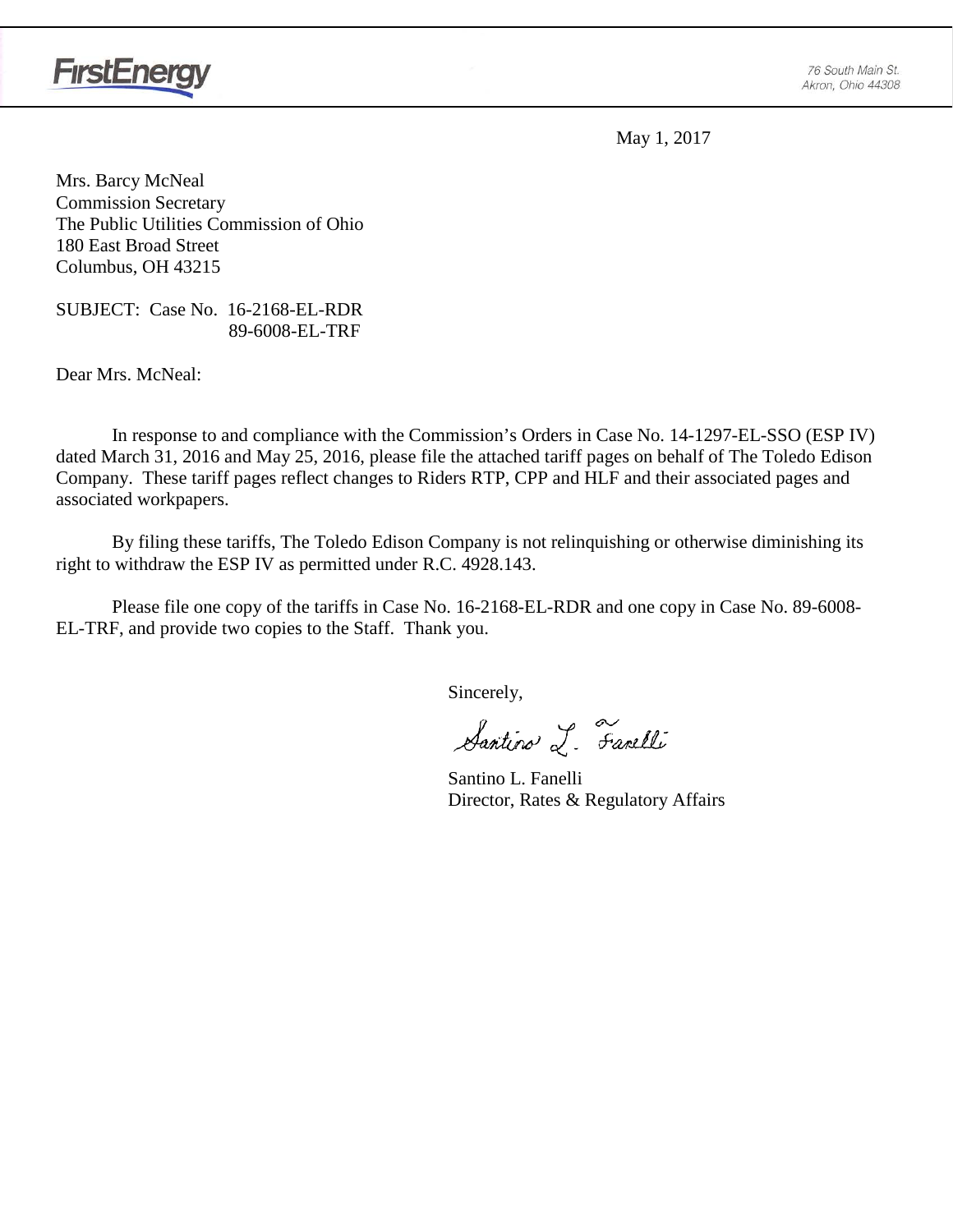

May 1, 2017

Mrs. Barcy McNeal Commission Secretary The Public Utilities Commission of Ohio 180 East Broad Street Columbus, OH 43215

SUBJECT: Case No. 16-2168-EL-RDR 89-6008-EL-TRF

Dear Mrs. McNeal:

In response to and compliance with the Commission's Orders in Case No. 14-1297-EL-SSO (ESP IV) dated March 31, 2016 and May 25, 2016, please file the attached tariff pages on behalf of The Toledo Edison Company. These tariff pages reflect changes to Riders RTP, CPP and HLF and their associated pages and associated workpapers.

By filing these tariffs, The Toledo Edison Company is not relinquishing or otherwise diminishing its right to withdraw the ESP IV as permitted under R.C. 4928.143.

Please file one copy of the tariffs in Case No. 16-2168-EL-RDR and one copy in Case No. 89-6008- EL-TRF, and provide two copies to the Staff. Thank you.

Sincerely,

Santino L. Farelli

Santino L. Fanelli Director, Rates & Regulatory Affairs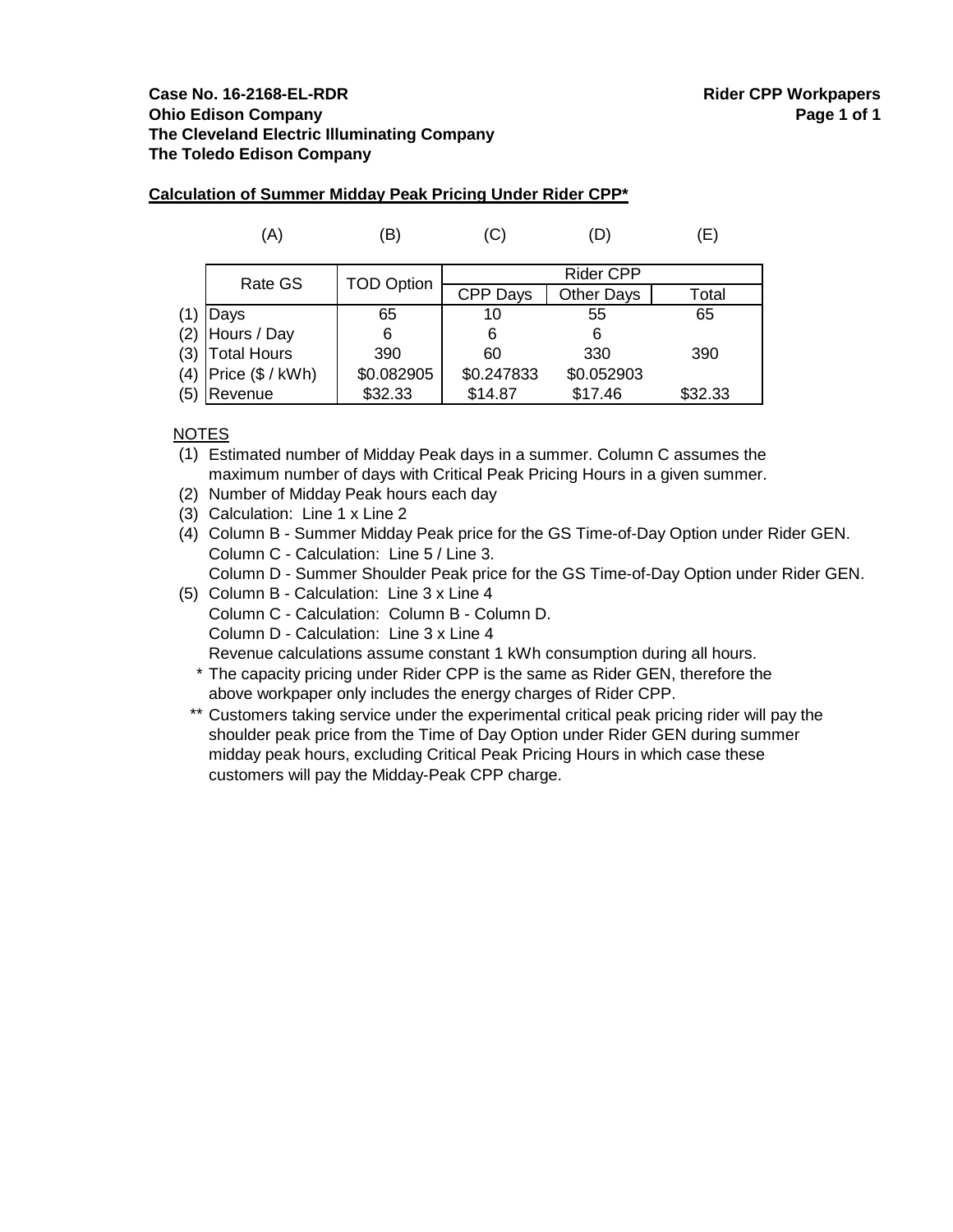| Calculation of Summer Midday Peak Pricing Under Rider CPP* |  |  |
|------------------------------------------------------------|--|--|
|                                                            |  |  |

|     | (A)                | ΈB,               | (C)        |                   | Έ)      |
|-----|--------------------|-------------------|------------|-------------------|---------|
|     | Rate GS            | <b>TOD Option</b> |            | <b>Rider CPP</b>  |         |
|     |                    |                   | CPP Days   | <b>Other Days</b> | Total   |
| (1) | Days               | 65                | 10         | 55                | 65      |
| (2) | Hours / Day        | 6                 | 6          |                   |         |
| (3) | <b>Total Hours</b> | 390               | 60         | 330               | 390     |
| (4) | Price (\$ / kWh)   | \$0.082905        | \$0.247833 | \$0.052903        |         |
| (5) | Revenue            | \$32.33           | \$14.87    | \$17.46           | \$32.33 |

NOTES

(1) Estimated number of Midday Peak days in a summer. Column C assumes the maximum number of days with Critical Peak Pricing Hours in a given summer.

- (2) Number of Midday Peak hours each day
- (3) Calculation: Line 1 x Line 2
- (4) Column B Summer Midday Peak price for the GS Time-of-Day Option under Rider GEN. Column C - Calculation: Line 5 / Line 3. Column D - Summer Shoulder Peak price for the GS Time-of-Day Option under Rider GEN.
- (5) Column B Calculation: Line 3 x Line 4 Column C - Calculation: Column B - Column D. Column D - Calculation: Line 3 x Line 4
	- Revenue calculations assume constant 1 kWh consumption during all hours.
	- \* The capacity pricing under Rider CPP is the same as Rider GEN, therefore the above workpaper only includes the energy charges of Rider CPP.
	- \*\* Customers taking service under the experimental critical peak pricing rider will pay the shoulder peak price from the Time of Day Option under Rider GEN during summer midday peak hours, excluding Critical Peak Pricing Hours in which case these customers will pay the Midday-Peak CPP charge.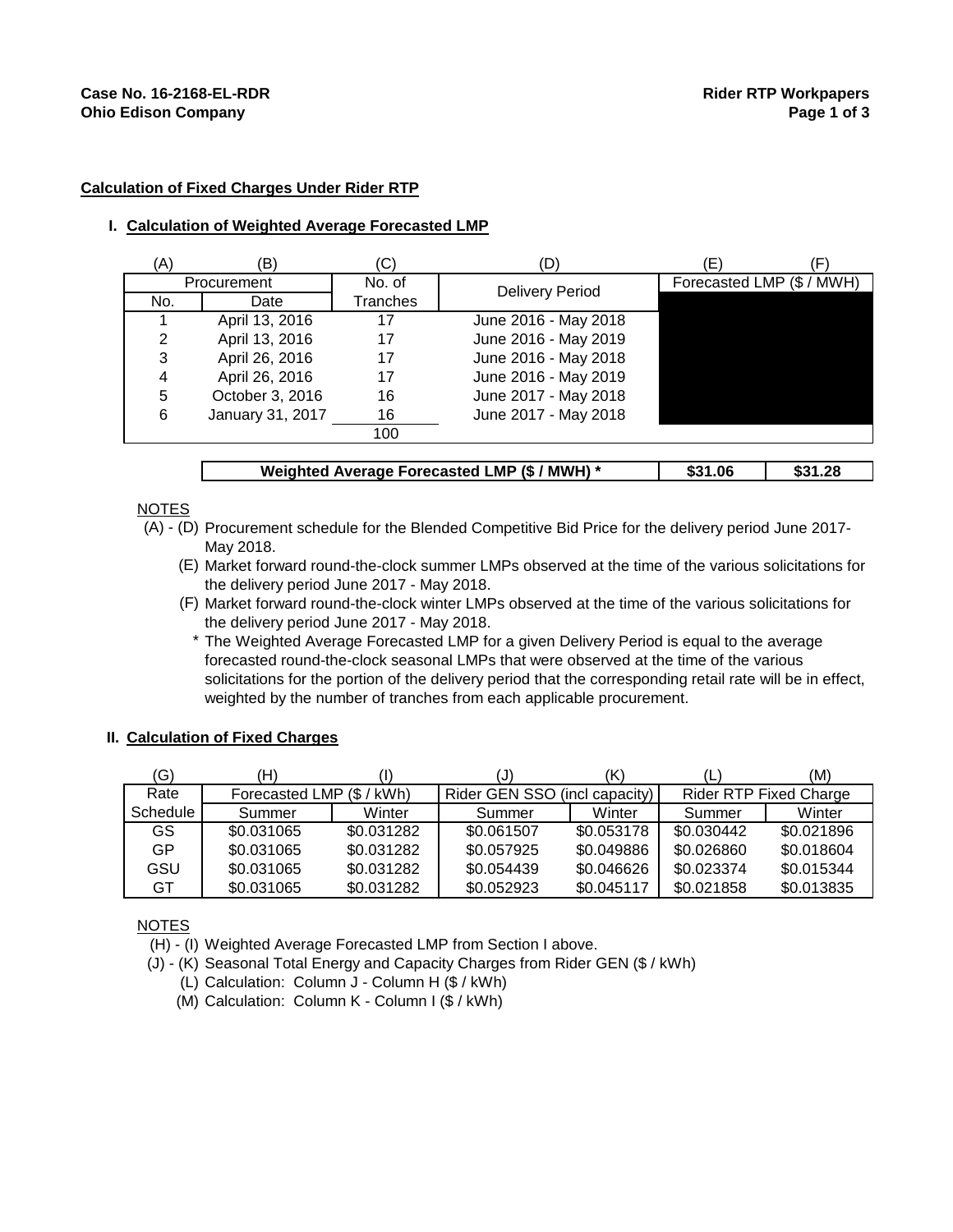#### **Calculation of Fixed Charges Under Rider RTP**

#### **I. Calculation of Weighted Average Forecasted LMP**

| 'A) | (B)              | C)       | 'D                     | ίE. |                           |
|-----|------------------|----------|------------------------|-----|---------------------------|
|     | Procurement      | No. of   | <b>Delivery Period</b> |     | Forecasted LMP (\$ / MWH) |
| No. | Date             | Tranches |                        |     |                           |
|     | April 13, 2016   | 17       | June 2016 - May 2018   |     |                           |
| 2   | April 13, 2016   | 17       | June 2016 - May 2019   |     |                           |
| 3   | April 26, 2016   | 17       | June 2016 - May 2018   |     |                           |
| 4   | April 26, 2016   | 17       | June 2016 - May 2019   |     |                           |
| 5   | October 3, 2016  | 16       | June 2017 - May 2018   |     |                           |
| 6   | January 31, 2017 | 16       | June 2017 - May 2018   |     |                           |
|     |                  | 100      |                        |     |                           |

| Weighted Average Forecasted LMP (\$ / MWH) * | \$31.06 | \$31.28 |
|----------------------------------------------|---------|---------|
|                                              |         |         |

#### NOTES

- (A) (D) Procurement schedule for the Blended Competitive Bid Price for the delivery period June 2017- May 2018.
	- (E) Market forward round-the-clock summer LMPs observed at the time of the various solicitations for the delivery period June 2017 - May 2018.
	- (F) Market forward round-the-clock winter LMPs observed at the time of the various solicitations for the delivery period June 2017 - May 2018.
		- \* The Weighted Average Forecasted LMP for a given Delivery Period is equal to the average forecasted round-the-clock seasonal LMPs that were observed at the time of the various solicitations for the portion of the delivery period that the corresponding retail rate will be in effect, weighted by the number of tranches from each applicable procurement.

### **II. Calculation of Fixed Charges**

| (G)      | (H)                 |            |                               |            |            | (M)                    |
|----------|---------------------|------------|-------------------------------|------------|------------|------------------------|
| Rate     | Forecasted LMP (\$/ | / kWh)     | Rider GEN SSO (incl capacity) |            |            | Rider RTP Fixed Charge |
| Schedule | Summer              | Winter     | Summer                        | Winter     | Summer     | Winter                 |
| GS       | \$0.031065          | \$0.031282 | \$0.061507                    | \$0.053178 | \$0.030442 | \$0.021896             |
| GP       | \$0.031065          | \$0.031282 | \$0.057925                    | \$0.049886 | \$0.026860 | \$0.018604             |
| GSU      | \$0.031065          | \$0.031282 | \$0.054439                    | \$0.046626 | \$0.023374 | \$0.015344             |
| GT       | \$0.031065          | \$0.031282 | \$0.052923                    | \$0.045117 | \$0.021858 | \$0.013835             |

NOTES

(H) - (I) Weighted Average Forecasted LMP from Section I above.

- (J) (K) Seasonal Total Energy and Capacity Charges from Rider GEN (\$ / kWh)
	- (L) Calculation: Column J Column H (\$ / kWh)
	- (M) Calculation: Column K Column I (\$ / kWh)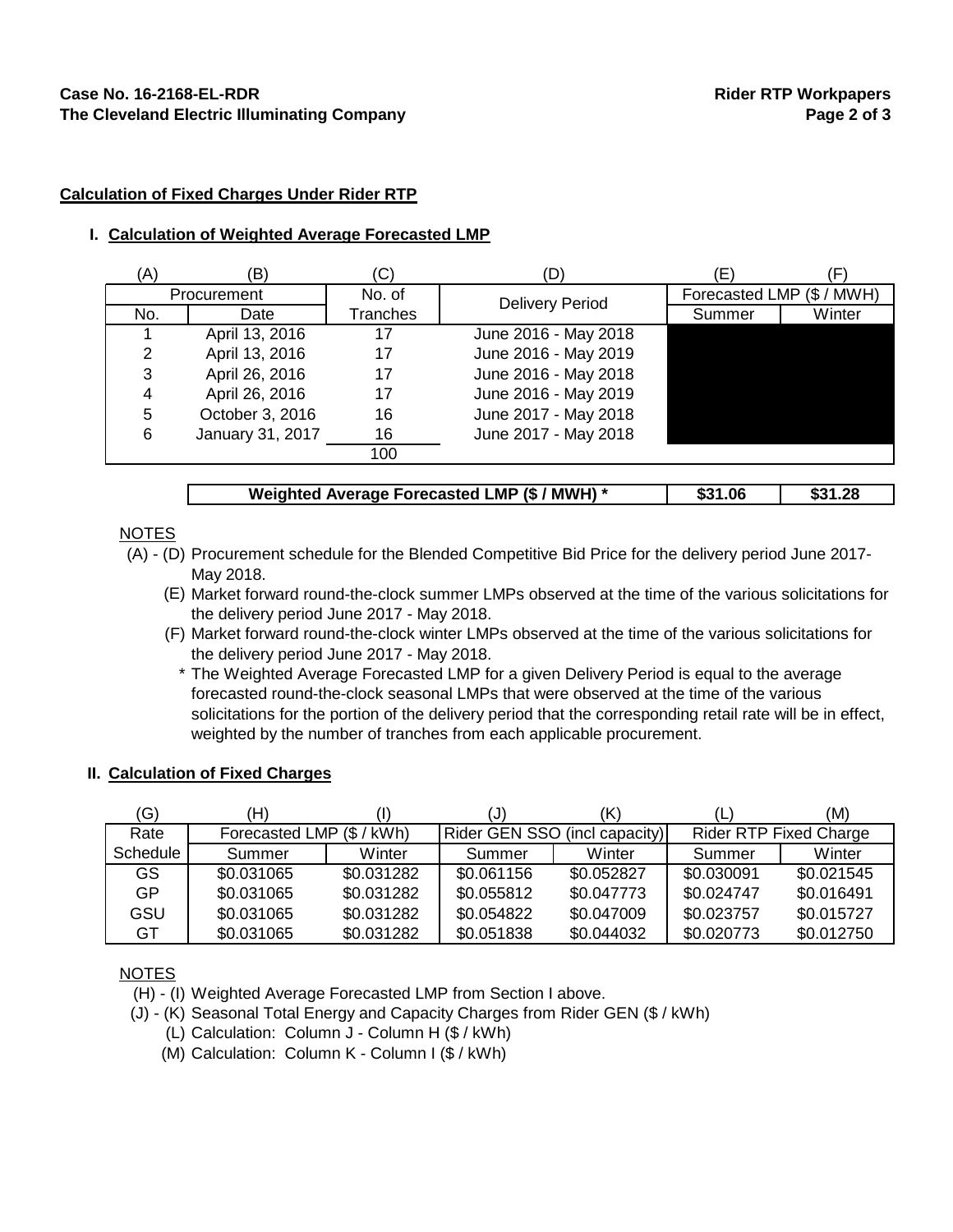# **Calculation of Fixed Charges Under Rider RTP**

#### **I. Calculation of Weighted Average Forecasted LMP**

| (A) | Έ)               | $\left(  C\right)$ | (D)                    | Έ                         |        |
|-----|------------------|--------------------|------------------------|---------------------------|--------|
|     | Procurement      | No. of             | <b>Delivery Period</b> | Forecasted LMP (\$ / MWH) |        |
| No. | Date             | Tranches           |                        | Summer                    | Winter |
|     | April 13, 2016   | 17                 | June 2016 - May 2018   |                           |        |
| 2   | April 13, 2016   | 17                 | June 2016 - May 2019   |                           |        |
| 3   | April 26, 2016   | 17                 | June 2016 - May 2018   |                           |        |
| 4   | April 26, 2016   | 17                 | June 2016 - May 2019   |                           |        |
| 5   | October 3, 2016  | 16                 | June 2017 - May 2018   |                           |        |
| 6   | January 31, 2017 | 16                 | June 2017 - May 2018   |                           |        |
|     |                  | 100                |                        |                           |        |

| Weighted Average Forecasted LMP (\$ / MWH) * | \$31.06 | \$31.28 |
|----------------------------------------------|---------|---------|
|                                              |         |         |

# NOTES

- (A) (D) Procurement schedule for the Blended Competitive Bid Price for the delivery period June 2017- May 2018.
	- (E) Market forward round-the-clock summer LMPs observed at the time of the various solicitations for the delivery period June 2017 - May 2018.
	- (F) Market forward round-the-clock winter LMPs observed at the time of the various solicitations for the delivery period June 2017 - May 2018.
		- \* The Weighted Average Forecasted LMP for a given Delivery Period is equal to the average forecasted round-the-clock seasonal LMPs that were observed at the time of the various solicitations for the portion of the delivery period that the corresponding retail rate will be in effect, weighted by the number of tranches from each applicable procurement.

# **II. Calculation of Fixed Charges**

| (G)      | Ήì             |            |                               | (K)        | (L         | (M)                           |
|----------|----------------|------------|-------------------------------|------------|------------|-------------------------------|
| Rate     | Forecasted LMP | (S / kWh)  | Rider GEN SSO (incl capacity) |            |            | <b>Rider RTP Fixed Charge</b> |
| Schedule | Summer         | Winter     | Summer                        | Winter     | Summer     | Winter                        |
| GS       | \$0.031065     | \$0.031282 | \$0.061156                    | \$0.052827 | \$0.030091 | \$0.021545                    |
| GP       | \$0.031065     | \$0.031282 | \$0.055812                    | \$0.047773 | \$0.024747 | \$0.016491                    |
| GSU      | \$0.031065     | \$0.031282 | \$0.054822                    | \$0.047009 | \$0.023757 | \$0.015727                    |
| GT       | \$0.031065     | \$0.031282 | \$0.051838                    | \$0.044032 | \$0.020773 | \$0.012750                    |

# NOTES

- (H) (I) Weighted Average Forecasted LMP from Section I above.
- (J) (K) Seasonal Total Energy and Capacity Charges from Rider GEN (\$ / kWh)
	- (L) Calculation: Column J Column H (\$ / kWh)
	- (M) Calculation: Column K Column I (\$ / kWh)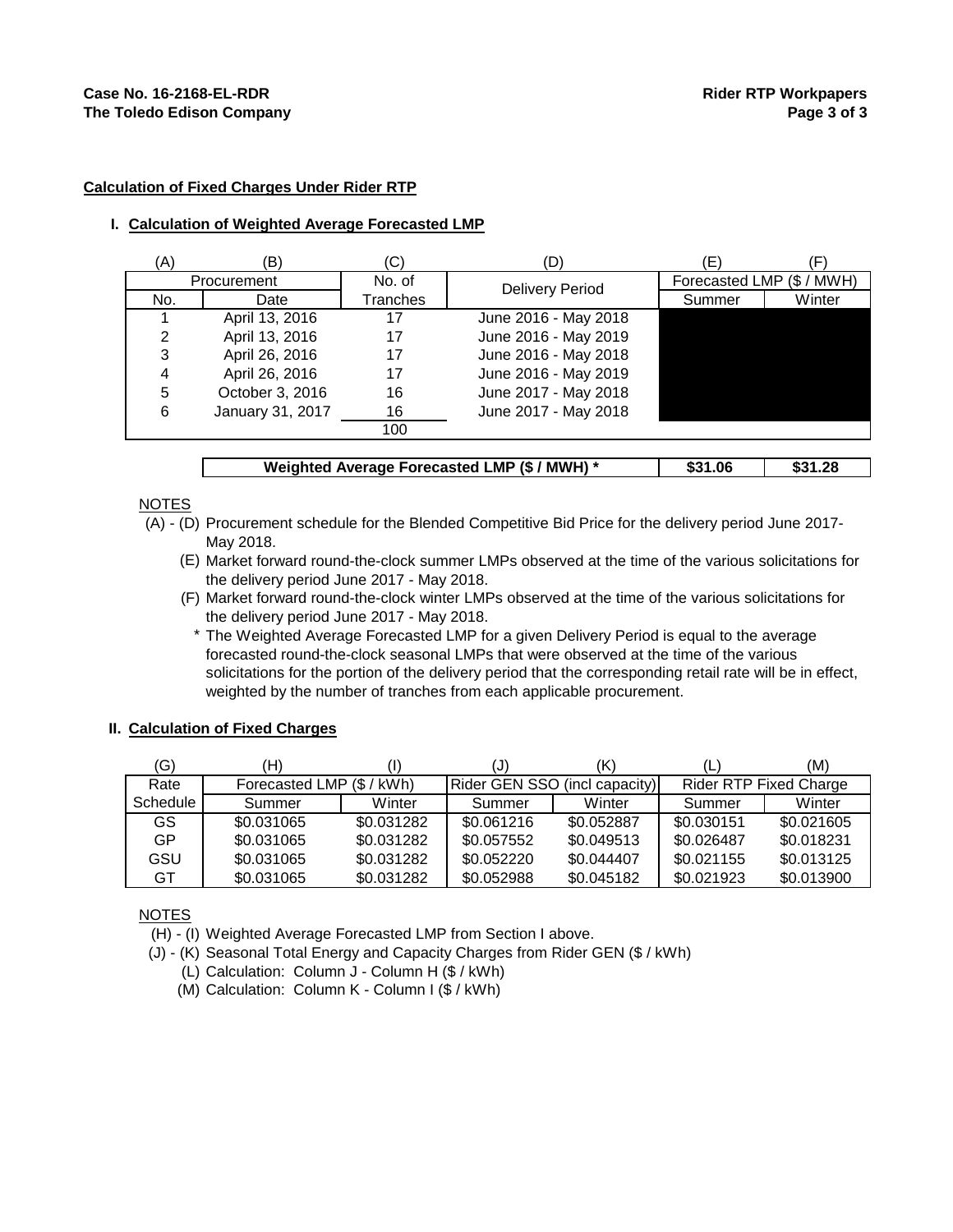### **Calculation of Fixed Charges Under Rider RTP**

#### **I. Calculation of Weighted Average Forecasted LMP**

| (A) | (B)              | (C)      | D)                     | E      |                           |
|-----|------------------|----------|------------------------|--------|---------------------------|
|     | Procurement      | No. of   | <b>Delivery Period</b> |        | Forecasted LMP (\$ / MWH) |
| No. | Date             | Tranches |                        | Summer | Winter                    |
|     | April 13, 2016   | 17       | June 2016 - May 2018   |        |                           |
| 2   | April 13, 2016   | 17       | June 2016 - May 2019   |        |                           |
| 3   | April 26, 2016   | 17       | June 2016 - May 2018   |        |                           |
| 4   | April 26, 2016   | 17       | June 2016 - May 2019   |        |                           |
| 5   | October 3, 2016  | 16       | June 2017 - May 2018   |        |                           |
| 6   | January 31, 2017 | 16       | June 2017 - May 2018   |        |                           |
|     |                  | 100      |                        |        |                           |

| Weighted Average Forecasted LMP (\$ / MWH) * | \$31.06 | \$31.28 |
|----------------------------------------------|---------|---------|
|                                              |         |         |

#### NOTES

- (A) (D) Procurement schedule for the Blended Competitive Bid Price for the delivery period June 2017- May 2018.
	- (E) Market forward round-the-clock summer LMPs observed at the time of the various solicitations for the delivery period June 2017 - May 2018.
	- (F) Market forward round-the-clock winter LMPs observed at the time of the various solicitations for the delivery period June 2017 - May 2018.
		- \* The Weighted Average Forecasted LMP for a given Delivery Period is equal to the average forecasted round-the-clock seasonal LMPs that were observed at the time of the various solicitations for the portion of the delivery period that the corresponding retail rate will be in effect, weighted by the number of tranches from each applicable procurement.

#### **II. Calculation of Fixed Charges**

| (G)        | 'H)                       |            |            | (K)                           |            | (M)                           |
|------------|---------------------------|------------|------------|-------------------------------|------------|-------------------------------|
| Rate       | Forecasted LMP (\$ / kWh) |            |            | Rider GEN SSO (incl capacity) |            | <b>Rider RTP Fixed Charge</b> |
| Schedule I | Summer                    | Winter     | Summer     | Winter                        | Summer     | Winter                        |
| GS         | \$0.031065                | \$0.031282 | \$0.061216 | \$0.052887                    | \$0.030151 | \$0.021605                    |
| GP         | \$0.031065                | \$0.031282 | \$0.057552 | \$0.049513                    | \$0.026487 | \$0.018231                    |
| GSU        | \$0.031065                | \$0.031282 | \$0.052220 | \$0.044407                    | \$0.021155 | \$0.013125                    |
| GT         | \$0.031065                | \$0.031282 | \$0.052988 | \$0.045182                    | \$0.021923 | \$0.013900                    |

#### NOTES

(H) - (I) Weighted Average Forecasted LMP from Section I above.

- (J) (K) Seasonal Total Energy and Capacity Charges from Rider GEN (\$ / kWh)
	- (L) Calculation: Column J Column H (\$ / kWh)
	- (M) Calculation: Column K Column I (\$ / kWh)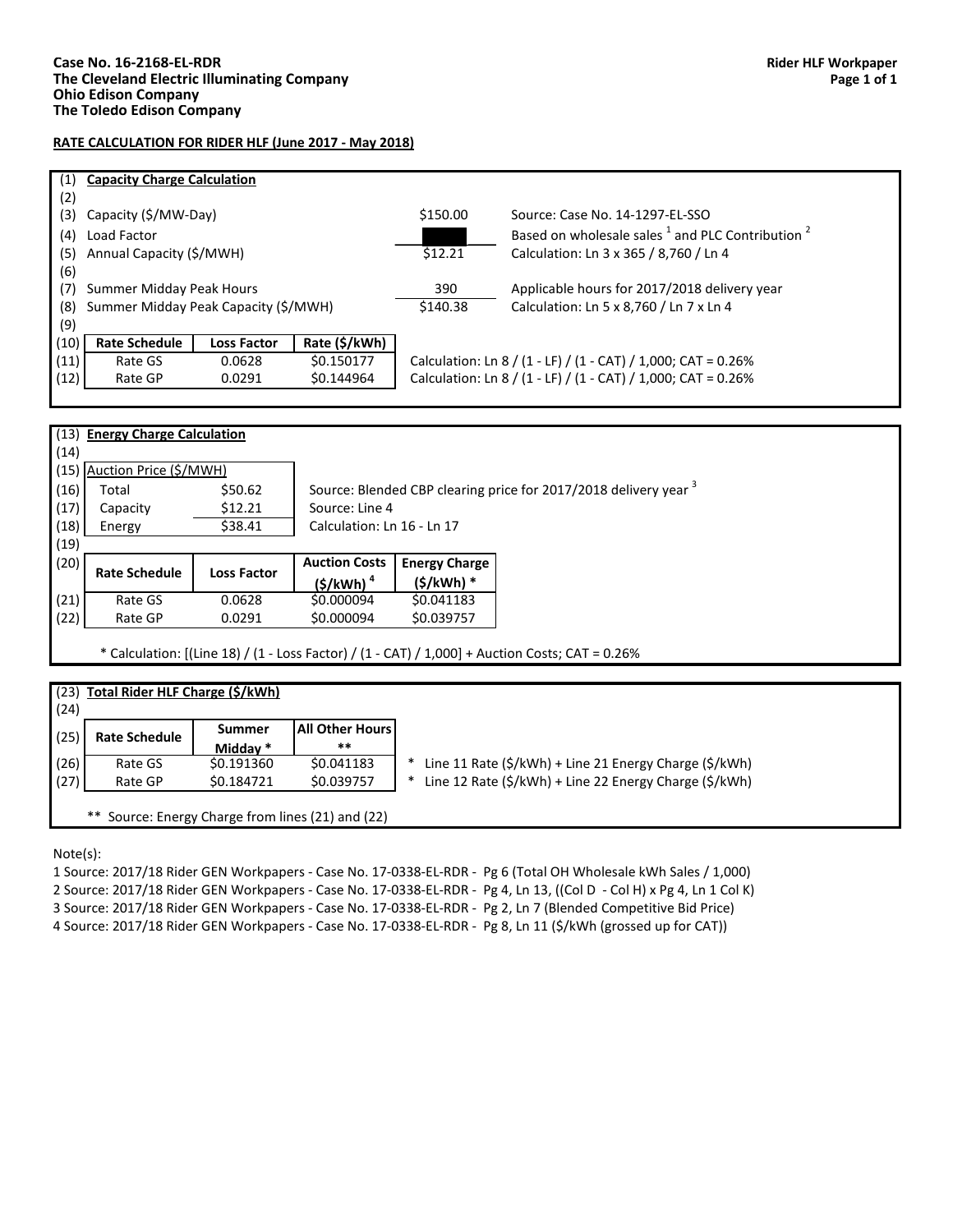#### **RATE CALCULATION FOR RIDER HLF (June 2017 - May 2018)**

| (1)                                     | <b>Capacity Charge Calculation</b>   |                    |               |                                                               |                                                                         |  |
|-----------------------------------------|--------------------------------------|--------------------|---------------|---------------------------------------------------------------|-------------------------------------------------------------------------|--|
| (2)                                     |                                      |                    |               |                                                               |                                                                         |  |
| (3)                                     | Capacity (\$/MW-Day)                 |                    |               | \$150.00                                                      | Source: Case No. 14-1297-EL-SSO                                         |  |
| (4)                                     | Load Factor                          |                    |               |                                                               | Based on wholesale sales <sup>1</sup> and PLC Contribution <sup>2</sup> |  |
| (5)                                     | Annual Capacity (\$/MWH)             |                    |               | \$12.21                                                       | Calculation: Ln 3 x 365 / 8,760 / Ln 4                                  |  |
| (6)                                     |                                      |                    |               |                                                               |                                                                         |  |
| (7)                                     | Summer Midday Peak Hours             |                    |               | 390                                                           | Applicable hours for 2017/2018 delivery year                            |  |
| (8)                                     | Summer Midday Peak Capacity (\$/MWH) |                    |               | \$140.38                                                      | Calculation: Ln 5 x 8,760 / Ln 7 x Ln 4                                 |  |
| (9)                                     |                                      |                    |               |                                                               |                                                                         |  |
| (10)                                    | <b>Rate Schedule</b>                 | <b>Loss Factor</b> | Rate (\$/kWh) |                                                               |                                                                         |  |
| (11)                                    | Rate GS                              | 0.0628             | \$0.150177    | Calculation: Ln 8 / (1 - LF) / (1 - CAT) / 1,000; CAT = 0.26% |                                                                         |  |
| (12)<br>\$0.144964<br>Rate GP<br>0.0291 |                                      |                    |               | Calculation: Ln 8 / (1 - LF) / (1 - CAT) / 1,000; CAT = 0.26% |                                                                         |  |

|      | (13) Energy Charge Calculation |                    |                                                                                                    |                                                                             |
|------|--------------------------------|--------------------|----------------------------------------------------------------------------------------------------|-----------------------------------------------------------------------------|
| (14) |                                |                    |                                                                                                    |                                                                             |
| (15) | Auction Price (\$/MWH)         |                    |                                                                                                    |                                                                             |
| (16) | Total                          | \$50.62            |                                                                                                    | Source: Blended CBP clearing price for 2017/2018 delivery year <sup>3</sup> |
| (17) | Capacity                       | \$12.21            | Source: Line 4                                                                                     |                                                                             |
| (18) | Energy                         | \$38.41            | Calculation: Ln 16 - Ln 17                                                                         |                                                                             |
| (19) |                                |                    |                                                                                                    |                                                                             |
| (20) |                                |                    | <b>Auction Costs</b>                                                                               | <b>Energy Charge</b>                                                        |
|      | <b>Rate Schedule</b>           | <b>Loss Factor</b> | $(\frac{\xi}{kWh})^4$                                                                              | $(S/KWh)*$                                                                  |
| (21) | Rate GS                        | 0.0628             | \$0.000094                                                                                         | \$0.041183                                                                  |
| (22) | Rate GP                        | 0.0291             | \$0.000094                                                                                         | \$0.039757                                                                  |
|      |                                |                    |                                                                                                    |                                                                             |
|      |                                |                    | * Calculation: [(Line 18) / (1 - Loss Factor) / (1 - CAT) / 1,000] + Auction Costs; CAT = $0.26\%$ |                                                                             |

| (23) | <b>Total Rider HLF Charge (\$/kWh)</b>            |            |                   |                                                        |  |  |  |
|------|---------------------------------------------------|------------|-------------------|--------------------------------------------------------|--|--|--|
| (24) |                                                   |            |                   |                                                        |  |  |  |
| (25) | <b>Rate Schedule</b>                              | Summer     | All Other Hours l |                                                        |  |  |  |
|      |                                                   | Midday *   | **                |                                                        |  |  |  |
| (26) | Rate GS                                           | \$0.191360 | \$0.041183        | Line 11 Rate (\$/kWh) + Line 21 Energy Charge (\$/kWh) |  |  |  |
| (27) | Rate GP                                           | \$0.184721 | \$0.039757        | Line 12 Rate (\$/kWh) + Line 22 Energy Charge (\$/kWh) |  |  |  |
|      |                                                   |            |                   |                                                        |  |  |  |
|      | ** Source: Energy Charge from lines (21) and (22) |            |                   |                                                        |  |  |  |

Note(s):

1 Source: 2017/18 Rider GEN Workpapers - Case No. 17-0338-EL-RDR - Pg 6 (Total OH Wholesale kWh Sales / 1,000) 2 Source: 2017/18 Rider GEN Workpapers - Case No. 17-0338-EL-RDR - Pg 4, Ln 13, ((Col D - Col H) x Pg 4, Ln 1 Col K) 3 Source: 2017/18 Rider GEN Workpapers - Case No. 17-0338-EL-RDR - Pg 2, Ln 7 (Blended Competitive Bid Price)

4 Source: 2017/18 Rider GEN Workpapers - Case No. 17-0338-EL-RDR - Pg 8, Ln 11 (\$/kWh (grossed up for CAT))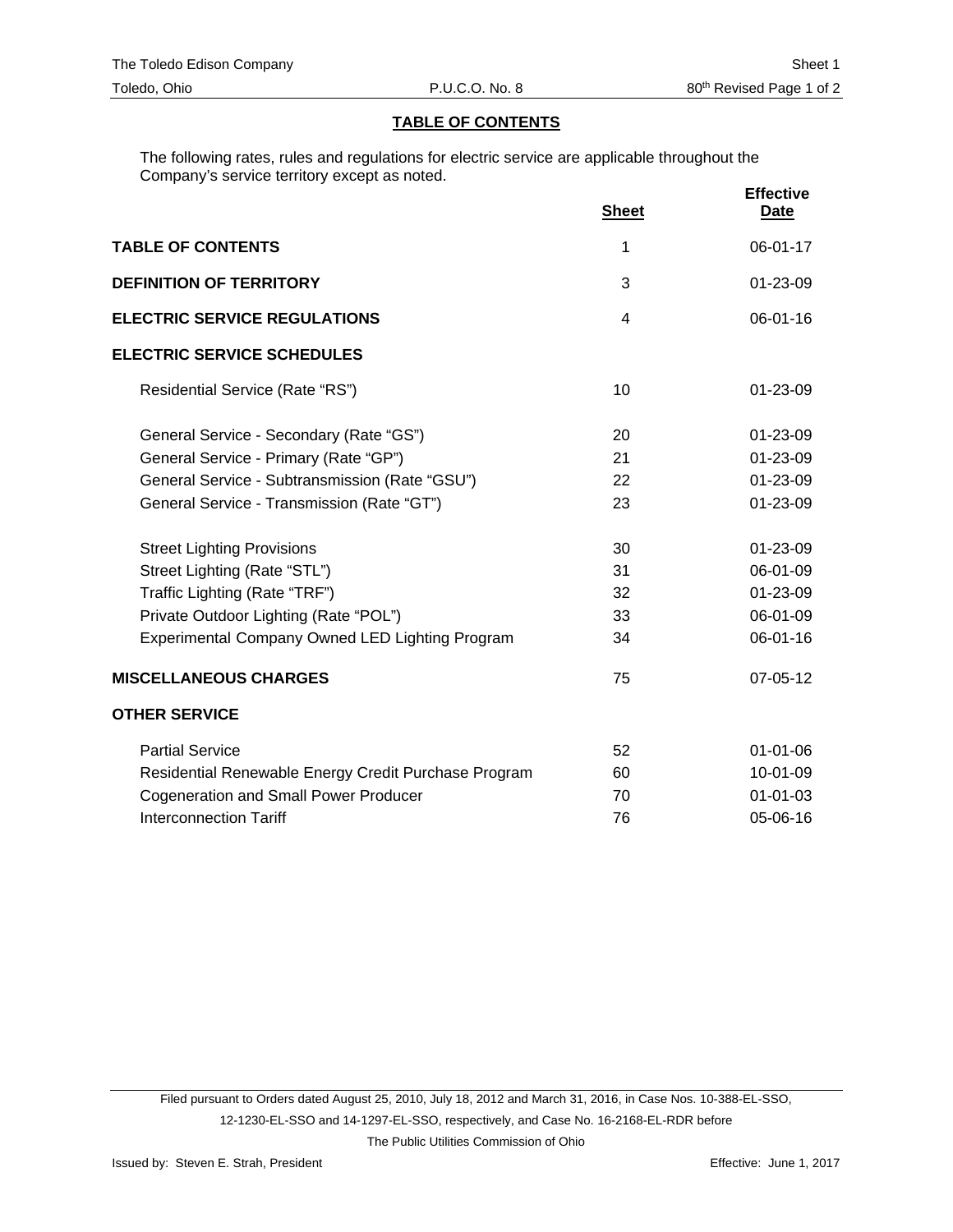# **TABLE OF CONTENTS**

The following rates, rules and regulations for electric service are applicable throughout the Company's service territory except as noted.

|                                                      | <b>Sheet</b>   | <b>Effective</b><br><b>Date</b> |
|------------------------------------------------------|----------------|---------------------------------|
| <b>TABLE OF CONTENTS</b>                             | 1              | 06-01-17                        |
| <b>DEFINITION OF TERRITORY</b>                       | 3              | 01-23-09                        |
| <b>ELECTRIC SERVICE REGULATIONS</b>                  | $\overline{4}$ | 06-01-16                        |
| <b>ELECTRIC SERVICE SCHEDULES</b>                    |                |                                 |
| Residential Service (Rate "RS")                      | 10             | 01-23-09                        |
| General Service - Secondary (Rate "GS")              | 20             | $01 - 23 - 09$                  |
| General Service - Primary (Rate "GP")                | 21             | 01-23-09                        |
| General Service - Subtransmission (Rate "GSU")       | 22             | 01-23-09                        |
| General Service - Transmission (Rate "GT")           | 23             | 01-23-09                        |
| <b>Street Lighting Provisions</b>                    | 30             | 01-23-09                        |
| Street Lighting (Rate "STL")                         | 31             | 06-01-09                        |
| Traffic Lighting (Rate "TRF")                        | 32             | 01-23-09                        |
| Private Outdoor Lighting (Rate "POL")                | 33             | 06-01-09                        |
| Experimental Company Owned LED Lighting Program      | 34             | 06-01-16                        |
| <b>MISCELLANEOUS CHARGES</b>                         | 75             | 07-05-12                        |
| <b>OTHER SERVICE</b>                                 |                |                                 |
| <b>Partial Service</b>                               | 52             | $01 - 01 - 06$                  |
| Residential Renewable Energy Credit Purchase Program | 60             | 10-01-09                        |
| <b>Cogeneration and Small Power Producer</b>         | 70             | $01 - 01 - 03$                  |
| <b>Interconnection Tariff</b>                        | 76             | 05-06-16                        |

Filed pursuant to Orders dated August 25, 2010, July 18, 2012 and March 31, 2016, in Case Nos. 10-388-EL-SSO, 12-1230-EL-SSO and 14-1297-EL-SSO, respectively, and Case No. 16-2168-EL-RDR before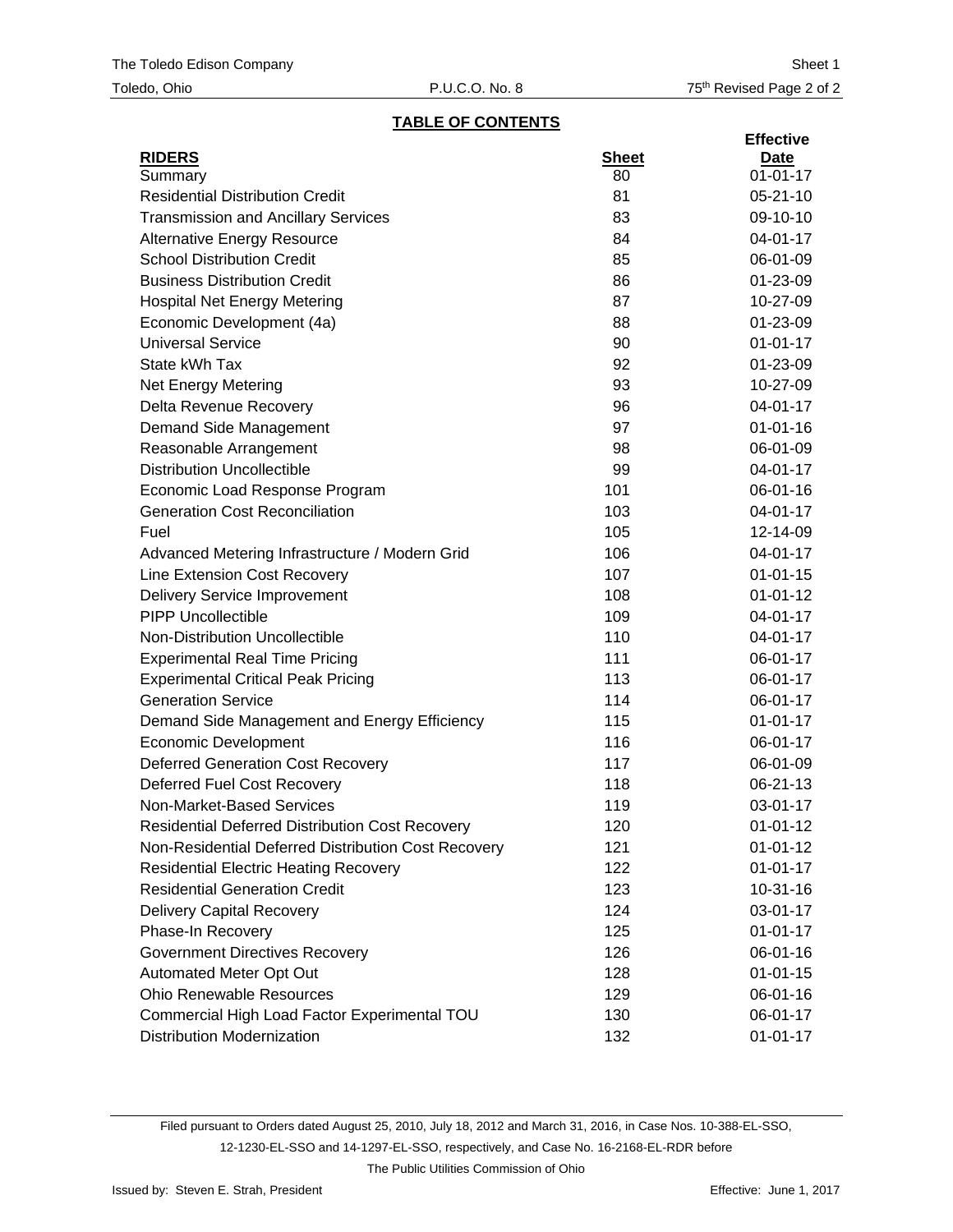### **TABLE OF CONTENTS**

|                                                        |              | <b>Effective</b> |
|--------------------------------------------------------|--------------|------------------|
| <b>RIDERS</b>                                          | <b>Sheet</b> | Date             |
| Summary                                                | 80           | $01 - 01 - 17$   |
| <b>Residential Distribution Credit</b>                 | 81           | $05 - 21 - 10$   |
| <b>Transmission and Ancillary Services</b>             | 83           | 09-10-10         |
| <b>Alternative Energy Resource</b>                     | 84           | 04-01-17         |
| <b>School Distribution Credit</b>                      | 85           | 06-01-09         |
| <b>Business Distribution Credit</b>                    | 86           | 01-23-09         |
| <b>Hospital Net Energy Metering</b>                    | 87           | 10-27-09         |
| Economic Development (4a)                              | 88           | 01-23-09         |
| <b>Universal Service</b>                               | 90           | $01 - 01 - 17$   |
| State kWh Tax                                          | 92           | 01-23-09         |
| <b>Net Energy Metering</b>                             | 93           | 10-27-09         |
| Delta Revenue Recovery                                 | 96           | 04-01-17         |
| Demand Side Management                                 | 97           | $01 - 01 - 16$   |
| Reasonable Arrangement                                 | 98           | 06-01-09         |
| <b>Distribution Uncollectible</b>                      | 99           | 04-01-17         |
| Economic Load Response Program                         | 101          | 06-01-16         |
| <b>Generation Cost Reconciliation</b>                  | 103          | 04-01-17         |
| Fuel                                                   | 105          | 12-14-09         |
| Advanced Metering Infrastructure / Modern Grid         | 106          | 04-01-17         |
| Line Extension Cost Recovery                           | 107          | $01 - 01 - 15$   |
| <b>Delivery Service Improvement</b>                    | 108          | $01 - 01 - 12$   |
| <b>PIPP Uncollectible</b>                              | 109          | 04-01-17         |
| Non-Distribution Uncollectible                         | 110          | 04-01-17         |
| <b>Experimental Real Time Pricing</b>                  | 111          | 06-01-17         |
| <b>Experimental Critical Peak Pricing</b>              | 113          | 06-01-17         |
| <b>Generation Service</b>                              | 114          | 06-01-17         |
| Demand Side Management and Energy Efficiency           | 115          | $01 - 01 - 17$   |
| <b>Economic Development</b>                            | 116          | 06-01-17         |
| <b>Deferred Generation Cost Recovery</b>               | 117          | 06-01-09         |
| Deferred Fuel Cost Recovery                            | 118          | 06-21-13         |
| Non-Market-Based Services                              | 119          | 03-01-17         |
| <b>Residential Deferred Distribution Cost Recovery</b> | 120          | $01 - 01 - 12$   |
| Non-Residential Deferred Distribution Cost Recovery    | 121          | $01 - 01 - 12$   |
| <b>Residential Electric Heating Recovery</b>           | 122          | $01 - 01 - 17$   |
| <b>Residential Generation Credit</b>                   | 123          | $10-31-16$       |
| <b>Delivery Capital Recovery</b>                       | 124          | 03-01-17         |
| Phase-In Recovery                                      | 125          | $01 - 01 - 17$   |
| <b>Government Directives Recovery</b>                  | 126          | 06-01-16         |
| Automated Meter Opt Out                                | 128          | $01 - 01 - 15$   |
| <b>Ohio Renewable Resources</b>                        | 129          | 06-01-16         |
| Commercial High Load Factor Experimental TOU           | 130          | 06-01-17         |
| <b>Distribution Modernization</b>                      |              |                  |
|                                                        | 132          | $01 - 01 - 17$   |

Filed pursuant to Orders dated August 25, 2010, July 18, 2012 and March 31, 2016, in Case Nos. 10-388-EL-SSO, 12-1230-EL-SSO and 14-1297-EL-SSO, respectively, and Case No. 16-2168-EL-RDR before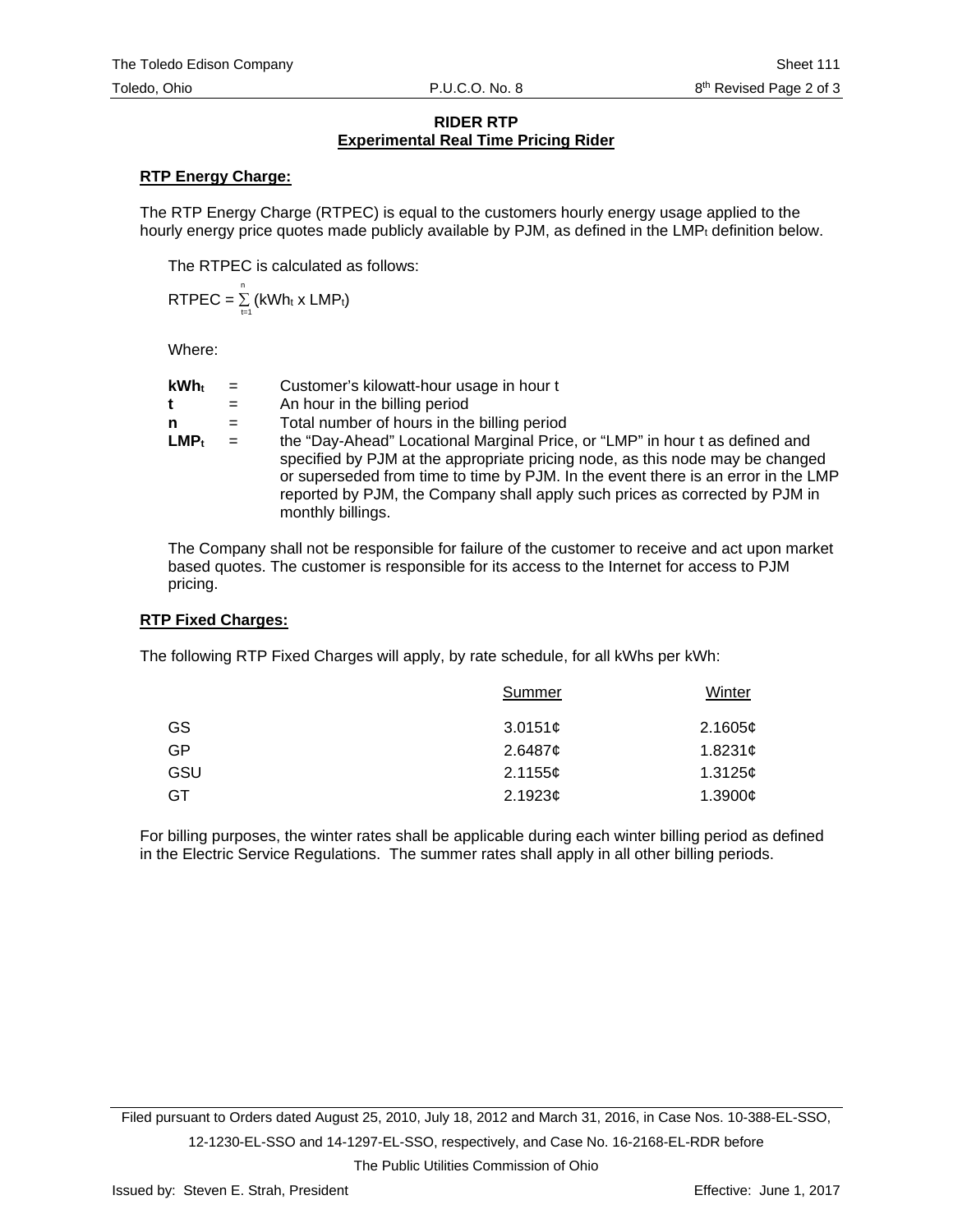### **RIDER RTP Experimental Real Time Pricing Rider**

# **RTP Energy Charge:**

The RTP Energy Charge (RTPEC) is equal to the customers hourly energy usage applied to the hourly energy price quotes made publicly available by PJM, as defined in the LMPt definition below.

The RTPEC is calculated as follows:

$$
RTPEC = \sum_{t=1}^{n} (kWh_t \times LMP_t)
$$

Where:

| <b>kWh</b> t | $=$ | Customer's kilowatt-hour usage in hour t                                                                                                                                                                                                                                                                                                               |
|--------------|-----|--------------------------------------------------------------------------------------------------------------------------------------------------------------------------------------------------------------------------------------------------------------------------------------------------------------------------------------------------------|
| t            | $=$ | An hour in the billing period                                                                                                                                                                                                                                                                                                                          |
| n            | $=$ | Total number of hours in the billing period                                                                                                                                                                                                                                                                                                            |
| $LMP_t$      | $=$ | the "Day-Ahead" Locational Marginal Price, or "LMP" in hour t as defined and<br>specified by PJM at the appropriate pricing node, as this node may be changed<br>or superseded from time to time by PJM. In the event there is an error in the LMP<br>reported by PJM, the Company shall apply such prices as corrected by PJM in<br>monthly billings. |

The Company shall not be responsible for failure of the customer to receive and act upon market based quotes. The customer is responsible for its access to the Internet for access to PJM pricing.

#### **RTP Fixed Charges:**

The following RTP Fixed Charges will apply, by rate schedule, for all kWhs per kWh:

| <b>Summer</b>   | <b>Winter</b> |
|-----------------|---------------|
| 3.0151c         | 2.1605¢       |
| 2.6487 $\sigma$ | $1.8231$ ¢    |
| 2.1155c         | 1.3125c       |
| 2.1923¢         | 1.3900 $\phi$ |
|                 |               |

For billing purposes, the winter rates shall be applicable during each winter billing period as defined in the Electric Service Regulations. The summer rates shall apply in all other billing periods.

Filed pursuant to Orders dated August 25, 2010, July 18, 2012 and March 31, 2016, in Case Nos. 10-388-EL-SSO, 12-1230-EL-SSO and 14-1297-EL-SSO, respectively, and Case No. 16-2168-EL-RDR before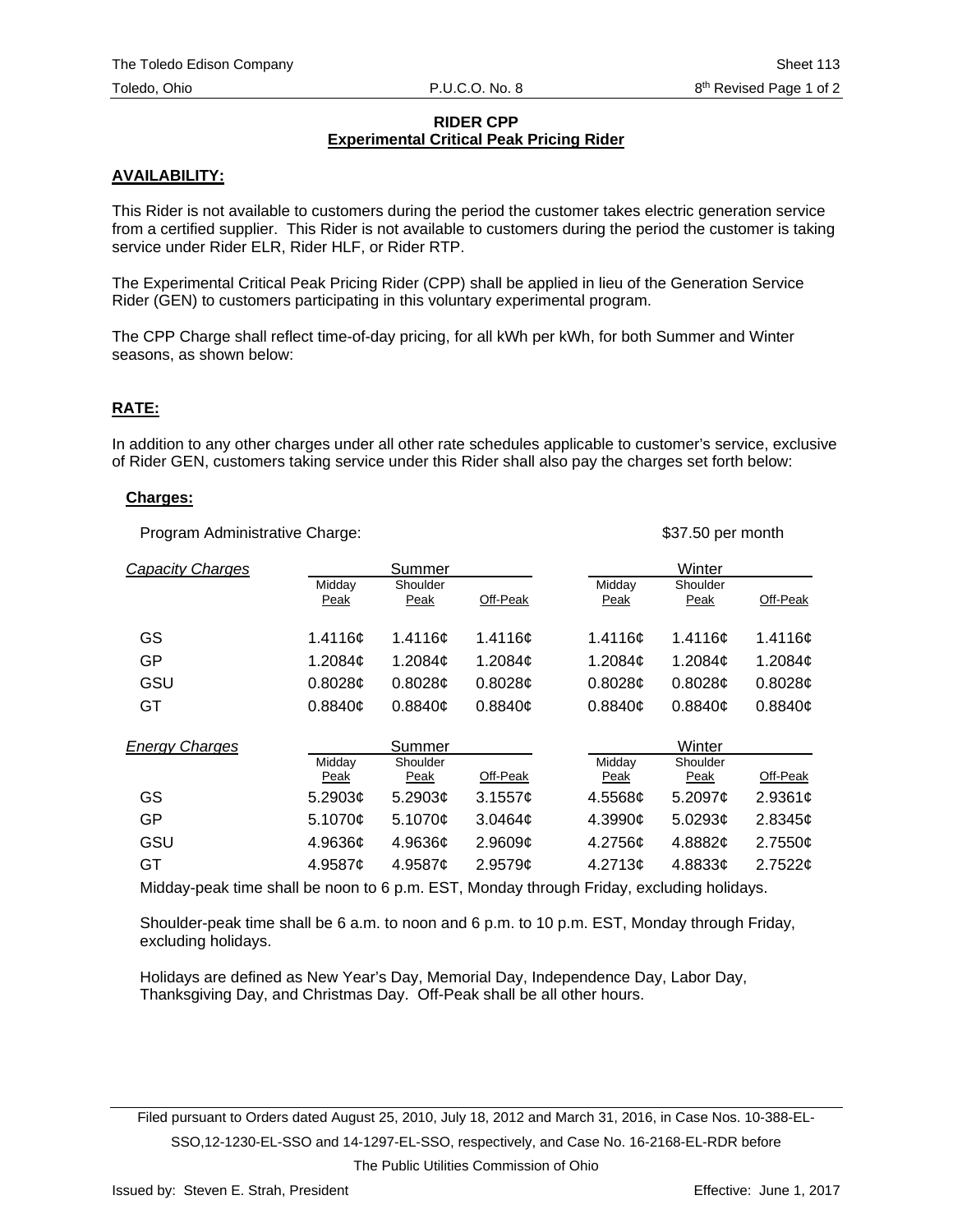# **RIDER CPP Experimental Critical Peak Pricing Rider**

# **AVAILABILITY:**

This Rider is not available to customers during the period the customer takes electric generation service from a certified supplier. This Rider is not available to customers during the period the customer is taking service under Rider ELR, Rider HLF, or Rider RTP.

The Experimental Critical Peak Pricing Rider (CPP) shall be applied in lieu of the Generation Service Rider (GEN) to customers participating in this voluntary experimental program.

The CPP Charge shall reflect time-of-day pricing, for all kWh per kWh, for both Summer and Winter seasons, as shown below:

#### **RATE:**

In addition to any other charges under all other rate schedules applicable to customer's service, exclusive of Rider GEN, customers taking service under this Rider shall also pay the charges set forth below:

#### **Charges:**

Program Administrative Charge:  $$37.50$  per month

| <b>Capacity Charges</b> |                | Summer           |                     |                | Winter           |                     |
|-------------------------|----------------|------------------|---------------------|----------------|------------------|---------------------|
|                         | Midday<br>Peak | Shoulder<br>Peak | Off-Peak            | Midday<br>Peak | Shoulder<br>Peak | Off-Peak            |
| GS                      | 1.4116¢        | 1.4116¢          | 1.4116¢             | 1.4116¢        | 1.4116¢          | 1.4116¢             |
| GP                      | 1.2084¢        | 1.2084¢          | 1.2084¢             | 1.2084¢        | 1.2084¢          | 1.2084¢             |
| GSU                     | 0.8028c        | 0.8028c          | 0.8028c             | 0.8028c        | 0.8028c          | 0.80286             |
| GT                      | 0.8840c        | 0.8840c          | 0.8840c             | 0.8840c        | 0.8840c          | 0.8840¢             |
| <b>Energy Charges</b>   |                | Summer           |                     |                | Winter           |                     |
|                         | Middav<br>Peak | Shoulder<br>Peak | Off-Peak            | Midday<br>Peak | Shoulder<br>Peak | Off-Peak            |
| GS                      | 5.2903c        | 5.2903¢          | 3.1557c             | 4.5568c        | 5.2097¢          | 2.9361 <sub>¢</sub> |
| GP                      | 5.1070¢        | 5.1070¢          | 3.0464 <sub>¢</sub> | 4.3990¢        | 5.0293¢          | 2.8345¢             |
| GSU                     | 4.9636¢        | 4.9636¢          | 2.9609c             | 4.2756¢        | 4.8882¢          | 2.7550¢             |
| GT                      | 4.9587¢        | 4.9587¢          | 2.9579c             | 4.2713¢        | 4.8833¢          | 2.7522c             |

Midday-peak time shall be noon to 6 p.m. EST, Monday through Friday, excluding holidays.

Shoulder-peak time shall be 6 a.m. to noon and 6 p.m. to 10 p.m. EST, Monday through Friday, excluding holidays.

Holidays are defined as New Year's Day, Memorial Day, Independence Day, Labor Day, Thanksgiving Day, and Christmas Day. Off-Peak shall be all other hours.

Filed pursuant to Orders dated August 25, 2010, July 18, 2012 and March 31, 2016, in Case Nos. 10-388-EL-SSO,12-1230-EL-SSO and 14-1297-EL-SSO, respectively, and Case No. 16-2168-EL-RDR before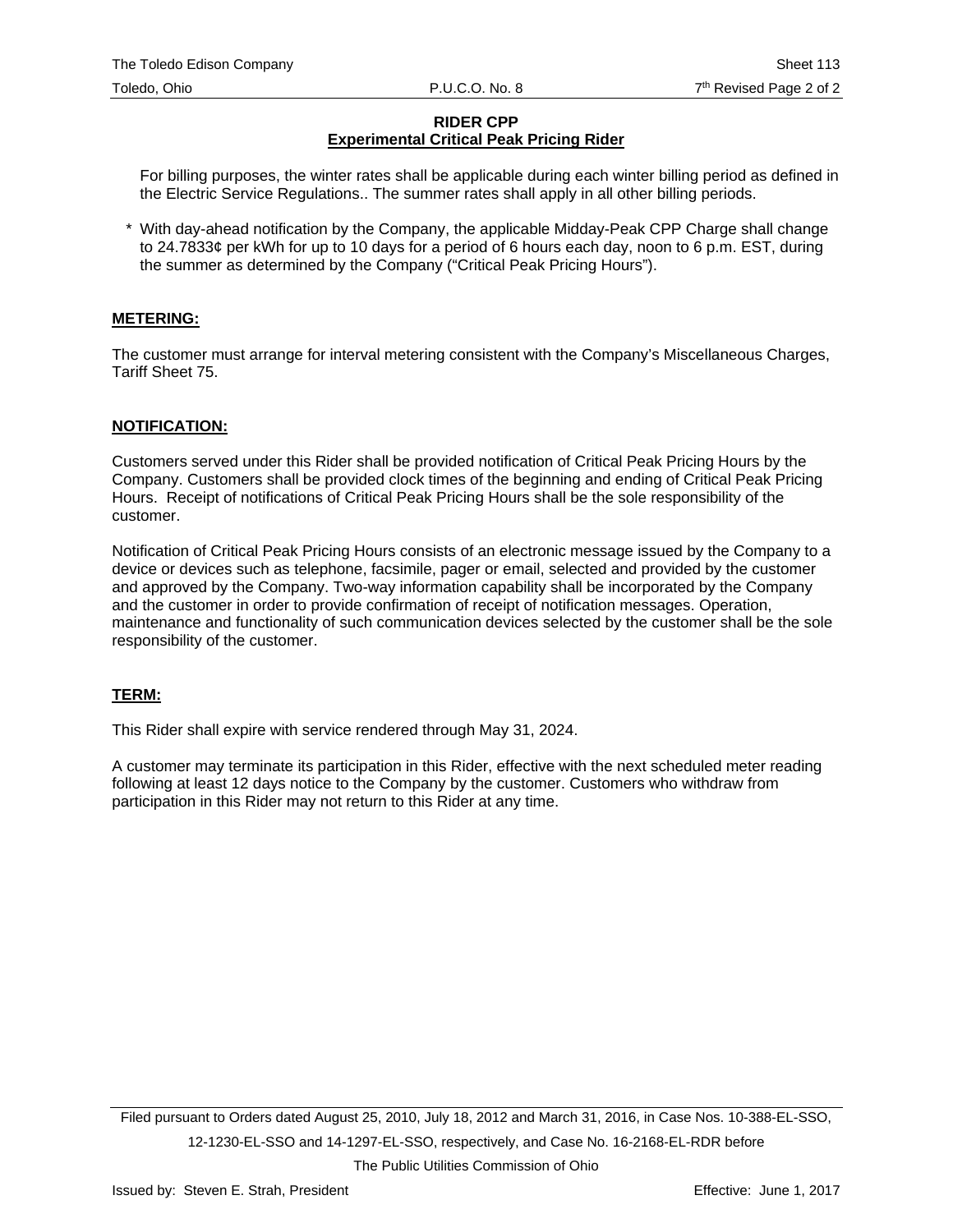# **RIDER CPP Experimental Critical Peak Pricing Rider**

For billing purposes, the winter rates shall be applicable during each winter billing period as defined in the Electric Service Regulations.. The summer rates shall apply in all other billing periods.

With day-ahead notification by the Company, the applicable Midday-Peak CPP Charge shall change to 24.7833¢ per kWh for up to 10 days for a period of 6 hours each day, noon to 6 p.m. EST, during the summer as determined by the Company ("Critical Peak Pricing Hours").

# **METERING:**

The customer must arrange for interval metering consistent with the Company's Miscellaneous Charges, Tariff Sheet 75.

# **NOTIFICATION:**

Customers served under this Rider shall be provided notification of Critical Peak Pricing Hours by the Company. Customers shall be provided clock times of the beginning and ending of Critical Peak Pricing Hours. Receipt of notifications of Critical Peak Pricing Hours shall be the sole responsibility of the customer.

Notification of Critical Peak Pricing Hours consists of an electronic message issued by the Company to a device or devices such as telephone, facsimile, pager or email, selected and provided by the customer and approved by the Company. Two-way information capability shall be incorporated by the Company and the customer in order to provide confirmation of receipt of notification messages. Operation, maintenance and functionality of such communication devices selected by the customer shall be the sole responsibility of the customer.

# **TERM:**

This Rider shall expire with service rendered through May 31, 2024.

A customer may terminate its participation in this Rider, effective with the next scheduled meter reading following at least 12 days notice to the Company by the customer. Customers who withdraw from participation in this Rider may not return to this Rider at any time.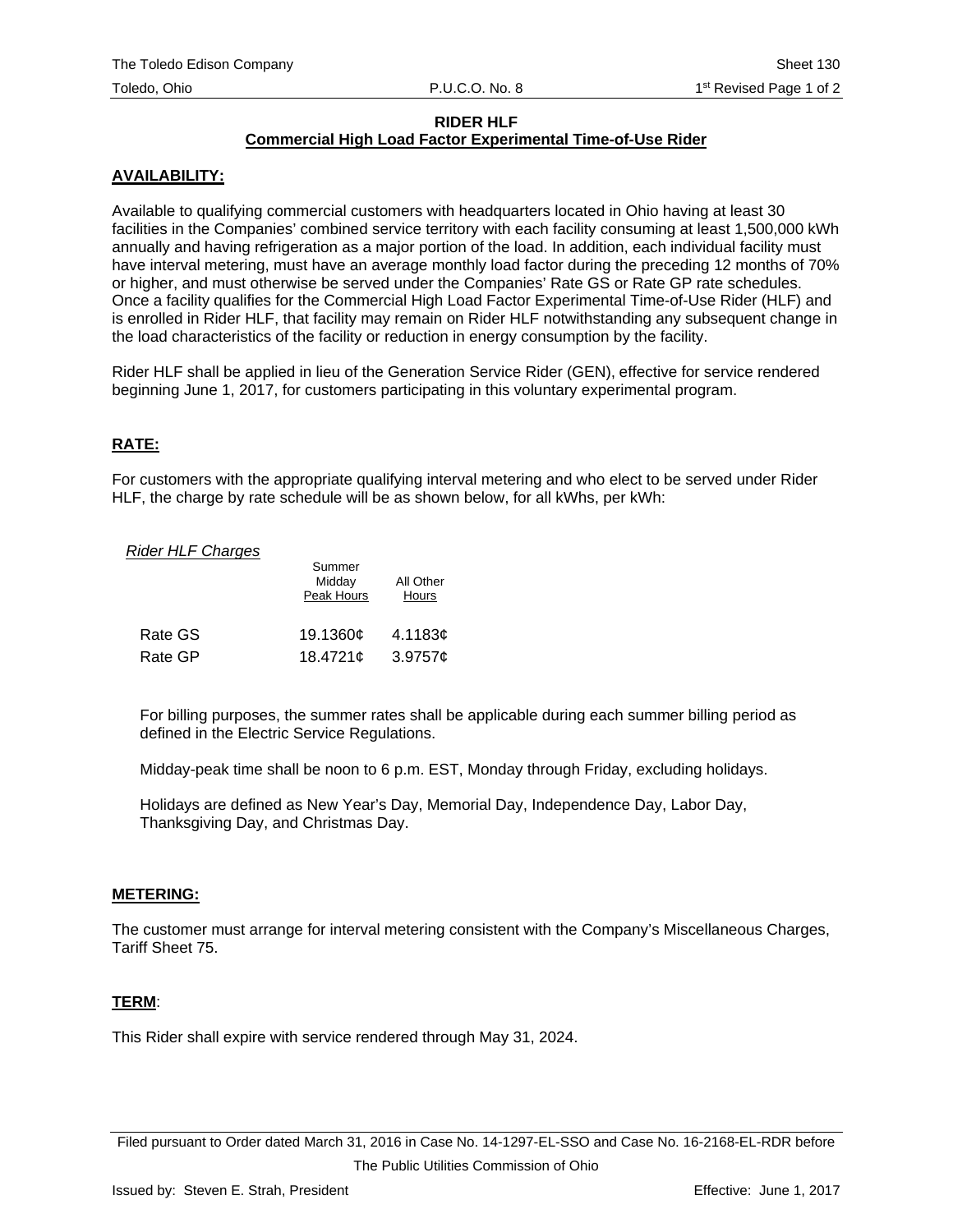#### **RIDER HLF Commercial High Load Factor Experimental Time-of-Use Rider**

# **AVAILABILITY:**

Available to qualifying commercial customers with headquarters located in Ohio having at least 30 facilities in the Companies' combined service territory with each facility consuming at least 1,500,000 kWh annually and having refrigeration as a major portion of the load. In addition, each individual facility must have interval metering, must have an average monthly load factor during the preceding 12 months of 70% or higher, and must otherwise be served under the Companies' Rate GS or Rate GP rate schedules. Once a facility qualifies for the Commercial High Load Factor Experimental Time-of-Use Rider (HLF) and is enrolled in Rider HLF, that facility may remain on Rider HLF notwithstanding any subsequent change in the load characteristics of the facility or reduction in energy consumption by the facility.

Rider HLF shall be applied in lieu of the Generation Service Rider (GEN), effective for service rendered beginning June 1, 2017, for customers participating in this voluntary experimental program.

# **RATE:**

For customers with the appropriate qualifying interval metering and who elect to be served under Rider HLF, the charge by rate schedule will be as shown below, for all kWhs, per kWh:

### **Rider HLF Charges**

|         | Summer<br>Midday<br>Peak Hours | All Other<br>Hours |  |
|---------|--------------------------------|--------------------|--|
| Rate GS | 19.1360¢                       | 4.1183c            |  |
| Rate GP | 18.4721¢                       | 3.9757c            |  |

For billing purposes, the summer rates shall be applicable during each summer billing period as defined in the Electric Service Regulations.

Midday-peak time shall be noon to 6 p.m. EST, Monday through Friday, excluding holidays.

Holidays are defined as New Year's Day, Memorial Day, Independence Day, Labor Day, Thanksgiving Day, and Christmas Day.

#### **METERING:**

The customer must arrange for interval metering consistent with the Company's Miscellaneous Charges, Tariff Sheet 75.

# **TERM**:

This Rider shall expire with service rendered through May 31, 2024.

Filed pursuant to Order dated March 31, 2016 in Case No. 14-1297-EL-SSO and Case No. 16-2168-EL-RDR before The Public Utilities Commission of Ohio